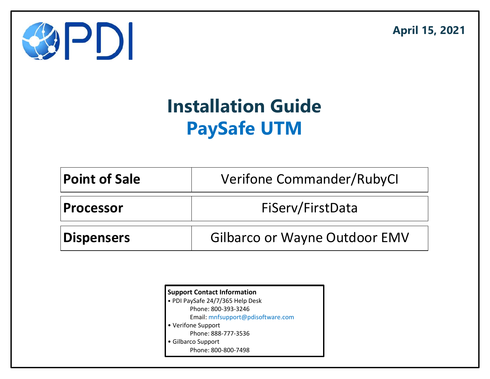April 15, 2021



# Installation Guide PaySafe UTM

| <b>Point of Sale</b> | <b>Verifone Commander/RubyCl</b>     |  |  |
|----------------------|--------------------------------------|--|--|
| <b>Processor</b>     | FiServ/FirstData                     |  |  |
| <b>Dispensers</b>    | <b>Gilbarco or Wayne Outdoor EMV</b> |  |  |

| <b>Support Contact Information</b> |  |  |
|------------------------------------|--|--|
| • PDI PaySafe 24/7/365 Help Desk   |  |  |
| Phone: 800-393-3246                |  |  |
| Email: mnfsupport@pdisoftware.com  |  |  |
| • Verifone Support                 |  |  |
| Phone: 888-777-3536                |  |  |
| Gilbarco Support                   |  |  |
| Phone: 800-800-7498                |  |  |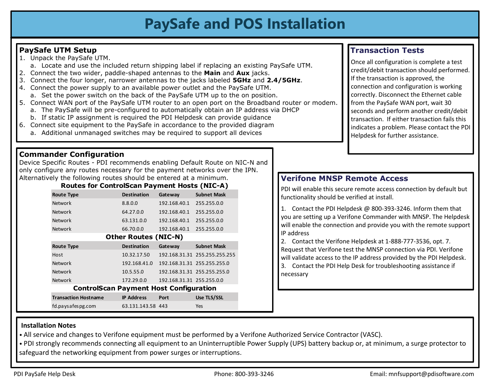### PaySafe and POS Installation

#### PaySafe UTM Setup

- 
- 
- 
- 
- **PaySafe UTM Setup**<br>
1. Unpack the PaySafe UTM.<br>
a. Locate and use the included return shipping label if replacing<br>
2. Connect the two wider, paddle-shaped antennas to the **Main** and<br>
3. Connect the four longer, narrower a **PaySafe and POS Installation**<br>Unpack the PaySafe UTM.<br>a. Locate and use the included return shipping label if replacing an existing PaySafe UTM.<br>Connect the two wider, paddle-shaped antennas to the **Main** and **Aux** jacks. **PaySafe UTM Setup**<br>
2. Unpack the PaySafe UTM.<br>
2. Connect the two wider, paddle-shaped antennas to the **Main** and **Aux** jacks.<br>
2. Connect the two wider, paddle-shaped antennas to the **Main** and **Aux** jacks.<br>
2. Connect **PaySafe UTM Setup**<br>3. Unpack the PaySafe UTM.<br>3. Locate and use the included return shipping label if replacing an existing PaySafe UTM.<br>3. Connect the two wider, paddle-shaped antennas to the **Main** and **Aux** jacks.<br>3. C **PaySafe and POS Installation**<br>Unpack the PaySafe UTM.<br>
Unpack the PaySafe UTM.<br>
Connect the two wider, paddle-shaped antennas to the **Main** and **Aux** jacks.<br>
Connect the four longer, narrower antennas to the **Main** and **A PaySafe and POS Installation**<br>
Unpack the PaySafe UTM.<br>
Unpack the PaySafe UTM.<br>
Connect the two wider, paddle-shaped antennas to the **Main** and Aux jacks.<br>
Connect the four vider, paddle-shaped antennas to the gian and A **Safe and POS Installation**<br> **Safe UTM Setup**<br>
Unpack the PaySafe UTM.<br>
a. Locate and use the included return shipping label if replacing an existing PaySafe UTM.<br>
Connect the four wider, padres shaped antennas to the **Ma**
- -
	-
- -

#### Commander Configuration

Device Specific Routes - PDI recommends enabling Default Route on NIC-N and only configure any routes necessary for the payment networks over the IPN. Alternatively the following routes should be entered at a minimum. **Verifone MNSP Remote Access** 

#### Routes for ControlScan Payment Hosts (NIC-A)

| afe UTM Setup<br>ack the PaySafe UTM.<br>Locate and use the included return shipping label if replacing an existing PaySafe UTM.<br>inect the two wider, paddle-shaped antennas to the Main and Aux jacks.<br>inect the four longer, narrower antennas to the jacks labeled 5GHz and 2.4/5GHz.<br>inect the power supply to an available power outlet and the PaySafe UTM.<br>Set the power switch on the back of the PaySafe UTM up to the on position.<br>inect WAN port of the PaySafe UTM router to an open port on the Broadband router or modem.<br>The PaySafe will be pre-configured to automatically obtain an IP address via DHCP<br>If static IP assignment is required the PDI Helpdesk can provide guidance<br>inect site equipment to the PaySafe in accordance to the provided diagram<br>Additional unmanaged switches may be required to support all devices |                                     |                                            |  |                                                                                                                                                     | <b>Transaction</b><br>Once all configura<br>credit/debit trans<br>If the transaction<br>connection and c<br>correctly. Discon<br>from the PaySafe<br>seconds and perf<br>transaction. If eit<br>indicates a proble<br>Helpdesk for furt |  |
|-------------------------------------------------------------------------------------------------------------------------------------------------------------------------------------------------------------------------------------------------------------------------------------------------------------------------------------------------------------------------------------------------------------------------------------------------------------------------------------------------------------------------------------------------------------------------------------------------------------------------------------------------------------------------------------------------------------------------------------------------------------------------------------------------------------------------------------------------------------------------------|-------------------------------------|--------------------------------------------|--|-----------------------------------------------------------------------------------------------------------------------------------------------------|-----------------------------------------------------------------------------------------------------------------------------------------------------------------------------------------------------------------------------------------|--|
| nander Configuration<br>Specific Routes - PDI recommends enabling Default Route on NIC-N and<br>nfigure any routes necessary for the payment networks over the IPN.                                                                                                                                                                                                                                                                                                                                                                                                                                                                                                                                                                                                                                                                                                           |                                     |                                            |  |                                                                                                                                                     |                                                                                                                                                                                                                                         |  |
| tively the following routes should be entered at a minimum.                                                                                                                                                                                                                                                                                                                                                                                                                                                                                                                                                                                                                                                                                                                                                                                                                   |                                     |                                            |  | <b>Verifone MNSP Remote Acce</b>                                                                                                                    |                                                                                                                                                                                                                                         |  |
| Routes for ControlScan Payment Hosts (NIC-A)<br><b>Destination</b>                                                                                                                                                                                                                                                                                                                                                                                                                                                                                                                                                                                                                                                                                                                                                                                                            |                                     |                                            |  | PDI will enable this secure remote access o                                                                                                         |                                                                                                                                                                                                                                         |  |
| <b>Route Type</b><br><b>Network</b><br>8.8.0.0                                                                                                                                                                                                                                                                                                                                                                                                                                                                                                                                                                                                                                                                                                                                                                                                                                | Gateway<br>192.168.40.1 255.255.0.0 | <b>Subnet Mask</b>                         |  | functionality should be verified at install.<br>1. Contact the PDI Helpdesk @ 800-393-3                                                             |                                                                                                                                                                                                                                         |  |
| 64.27.0.0<br>Network                                                                                                                                                                                                                                                                                                                                                                                                                                                                                                                                                                                                                                                                                                                                                                                                                                                          | 192.168.40.1 255.255.0.0            |                                            |  |                                                                                                                                                     |                                                                                                                                                                                                                                         |  |
| Network<br>63.131.0.0                                                                                                                                                                                                                                                                                                                                                                                                                                                                                                                                                                                                                                                                                                                                                                                                                                                         | 192.168.40.1 255.255.0.0            |                                            |  | you are setting up a Verifone Commander                                                                                                             |                                                                                                                                                                                                                                         |  |
| 66.70.0.0<br>Network                                                                                                                                                                                                                                                                                                                                                                                                                                                                                                                                                                                                                                                                                                                                                                                                                                                          | 192.168.40.1 255.255.0.0            |                                            |  | will enable the connection and provide you                                                                                                          |                                                                                                                                                                                                                                         |  |
| <b>Other Routes (NIC-N)</b>                                                                                                                                                                                                                                                                                                                                                                                                                                                                                                                                                                                                                                                                                                                                                                                                                                                   |                                     |                                            |  | IP address                                                                                                                                          |                                                                                                                                                                                                                                         |  |
| <b>Route Type</b><br><b>Destination</b>                                                                                                                                                                                                                                                                                                                                                                                                                                                                                                                                                                                                                                                                                                                                                                                                                                       | Gateway                             | <b>Subnet Mask</b>                         |  | 2. Contact the Verifone Helpdesk at 1-88                                                                                                            |                                                                                                                                                                                                                                         |  |
| 10.32.17.50<br>Host                                                                                                                                                                                                                                                                                                                                                                                                                                                                                                                                                                                                                                                                                                                                                                                                                                                           |                                     | 192.168.31.31 255.255.255.255              |  | Request that Verifone test the MNSP conn<br>will validate access to the IP address provi-<br>3. Contact the PDI Help Desk for troubles<br>necessary |                                                                                                                                                                                                                                         |  |
| <b>Network</b>                                                                                                                                                                                                                                                                                                                                                                                                                                                                                                                                                                                                                                                                                                                                                                                                                                                                |                                     | 192.168.41.0  192.168.31.31  255.255.255.0 |  |                                                                                                                                                     |                                                                                                                                                                                                                                         |  |
| <b>Network</b><br>10.5.55.0                                                                                                                                                                                                                                                                                                                                                                                                                                                                                                                                                                                                                                                                                                                                                                                                                                                   |                                     | 192.168.31.31 255.255.255.0                |  |                                                                                                                                                     |                                                                                                                                                                                                                                         |  |
| 172.29.0.0<br><b>Network</b>                                                                                                                                                                                                                                                                                                                                                                                                                                                                                                                                                                                                                                                                                                                                                                                                                                                  | 192.168.31.31 255.255.0.0           |                                            |  |                                                                                                                                                     |                                                                                                                                                                                                                                         |  |
| <b>ControlScan Payment Host Configuration</b>                                                                                                                                                                                                                                                                                                                                                                                                                                                                                                                                                                                                                                                                                                                                                                                                                                 |                                     |                                            |  |                                                                                                                                                     |                                                                                                                                                                                                                                         |  |
| <b>IP Address</b><br><b>Transaction Hostname</b>                                                                                                                                                                                                                                                                                                                                                                                                                                                                                                                                                                                                                                                                                                                                                                                                                              | Port                                | Use TLS/SSL                                |  |                                                                                                                                                     |                                                                                                                                                                                                                                         |  |
| fd.paysafespg.com<br>63.131.143.58 443                                                                                                                                                                                                                                                                                                                                                                                                                                                                                                                                                                                                                                                                                                                                                                                                                                        |                                     | Yes                                        |  |                                                                                                                                                     |                                                                                                                                                                                                                                         |  |
| ation Notes<br>vice and changes to Verifone equipment must be performed by a Verifone Authorized Service Contractor (VASC).<br>rongly recommends connecting all equipment to an Uninterruptible Power Supply (UPS) battery backup or, at minimur<br>ud the notuorling coujoment from nouver curses or intervuntions                                                                                                                                                                                                                                                                                                                                                                                                                                                                                                                                                           |                                     |                                            |  |                                                                                                                                                     |                                                                                                                                                                                                                                         |  |

### Transaction Tests

**PaySafe UTM Setup**<br> **PaySafe UTM CONS INStallation**<br> **PaySafe UTM and Example 10 Connect** the four longer, narrower antennas to the **Main** and **Aux** jacks.<br>
2. Connect the four longer, narrower antennas to the **Main** an **Safe und POS Installation**<br>
Safe UTM Setup<br>
Jupack the PaySafe UTM.<br>
a. Locate and use the included return shipping label if replacing an existing PaySafe UTM.<br>
Connect the four wider, padre-shaped antennas to the **pain PaySafe urm setup**<br>
1. Unpack the PaySafe IIM<br>
1. Unpack the PaySafe IIM<br>
1. Unpack the PaySafe IIM<br>
2. Connect the two wider, pairwer antennas to the fatal and **Aux** jacks.<br>
2. Connect the form of the provided estable in Safe UTM.<br>
1. Contact the Continguration is complete a test<br>
1. Contact the funsaction space, the<br>
1. Contact the Finance contact the Ethernet cable<br>
1. Contact of methods and perform another credit/debit<br>
1. Contact the P For the PDI Helpdesk at 1-888-777-3536, opt. 7.<br>
Request that Verifon and Control and Control and DHCP<br>
The PaySafe WAN port, wait 30<br>
seconds and perform another credit/debit<br>
transaction in feither transaction fails this Once all configuration is complete a test credit/debit transaction should performed. If the transaction is approved, the connection and configuration is working correctly. Disconnect the Ethernet cable from the PaySafe WAN port, wait 30 seconds and perform another credit/debit transaction. If either transaction fails this indicates a problem. Please contact the PDI Helpdesk for further assistance.

PDI will enable this secure remote access connection by default but functionality should be verified at install.

you are setting up a Verifone Commander with MNSP. The Helpdesk will enable the connection and provide you with the remote support IP address

Request that Verifone test the MNSP connection via PDI. Verifone will validate access to the IP address provided by the PDI Helpdesk. 3. Contact the PDI Help Desk for troubleshooting assistance if

#### Installation Notes

• All service and changes to Verifone equipment must be performed by a Verifone Authorized Service Contractor (VASC).

• PDI strongly recommends connecting all equipment to an Uninterruptible Power Supply (UPS) battery backup or, at minimum, a surge protector to safeguard the networking equipment from power surges or interruptions.